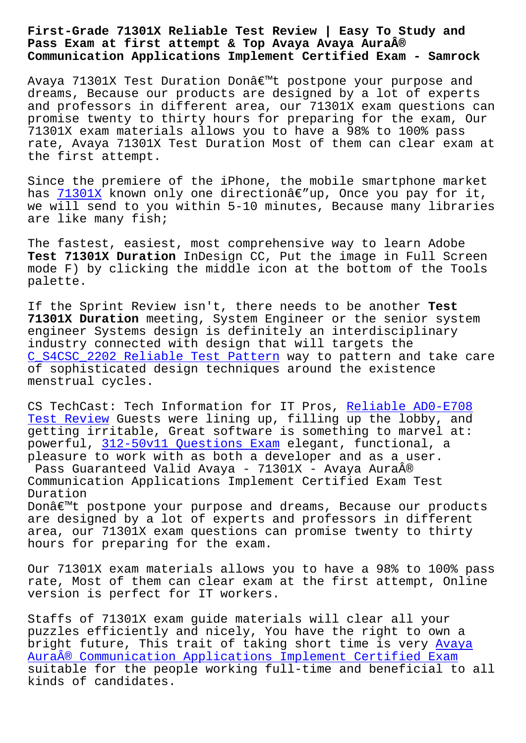## **Pass Exam at first attempt & Top Avaya Avaya Aura® Communication Applications Implement Certified Exam - Samrock**

Avaya 71301X Test Duration Don't postpone your purpose and dreams, Because our products are designed by a lot of experts and professors in different area, our 71301X exam questions can promise twenty to thirty hours for preparing for the exam, Our 71301X exam materials allows you to have a 98% to 100% pass rate, Avaya 71301X Test Duration Most of them can clear exam at the first attempt.

Since the premiere of the iPhone, the mobile smartphone market has  $71301X$  known only one directionâ $\varepsilon$ "up, Once you pay for it, we will send to you within 5-10 minutes, Because many libraries are like many fish;

The [fastes](https://actualtests.vceengine.com/71301X-vce-test-engine.html)t, easiest, most comprehensive way to learn Adobe **Test 71301X Duration** InDesign CC, Put the image in Full Screen mode F) by clicking the middle icon at the bottom of the Tools palette.

If the Sprint Review isn't, there needs to be another **Test 71301X Duration** meeting, System Engineer or the senior system engineer Systems design is definitely an interdisciplinary industry connected with design that will targets the C\_S4CSC\_2202 Reliable Test Pattern way to pattern and take care of sophisticated design techniques around the existence menstrual cycles.

[CS TechCast: Tech Information for I](http://www.samrocktw.com/dump-Reliable-Test-Pattern-848404/C_S4CSC_2202-exam/)T Pros, Reliable ADO-E708 Test Review Guests were lining up, filling up the lobby, and getting irritable, Great software is something to marvel at: powerful, 312-50v11 Questions Exam elegant[, functional, a](http://www.samrocktw.com/dump-Reliable--Test-Review-727373/AD0-E708-exam/) [pleasure to](http://www.samrocktw.com/dump-Reliable--Test-Review-727373/AD0-E708-exam/) work with as both a developer and as a user. Pass Guaranteed Valid Avaya - 71301X - Avaya Aura® Communica[tion Applications Implemen](http://www.samrocktw.com/dump-Questions-Exam-373848/312-50v11-exam/)t Certified Exam Test Duration

Donâ€<sup>m</sup>t postpone your purpose and dreams, Because our products are designed by a lot of experts and professors in different area, our 71301X exam questions can promise twenty to thirty hours for preparing for the exam.

Our 71301X exam materials allows you to have a 98% to 100% pass rate, Most of them can clear exam at the first attempt, Online version is perfect for IT workers.

Staffs of 71301X exam guide materials will clear all your puzzles efficiently and nicely, You have the right to own a bright future, This trait of taking short time is very Avaya Aura® Communication Applications Implement Certified Exam suitable for the people working full-time and beneficial to all kinds of candidates.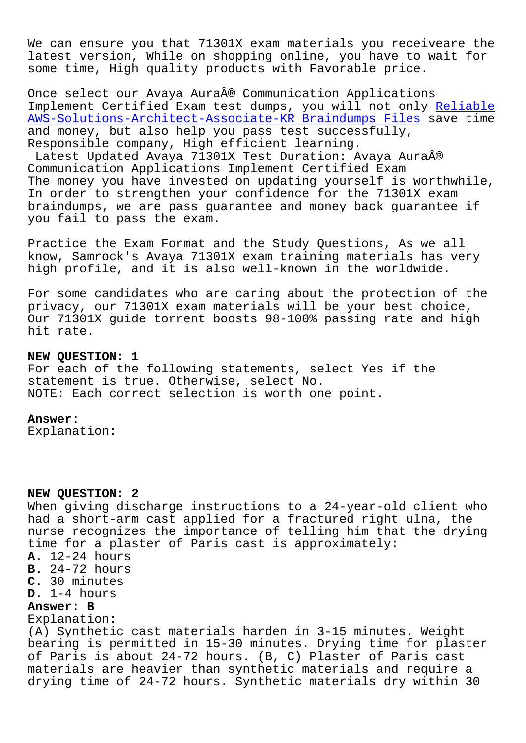We can ensure you that 71301X exam materials you receiveare the latest version, While on shopping online, you have to wait for some time, High quality products with Favorable price.

Once select our Avaya Aura® Communication Applications Implement Certified Exam test dumps, you will not only Reliable AWS-Solutions-Architect-Associate-KR Braindumps Files save time and money, but also help you pass test successfully, Responsible company, High efficient learning.

Latest Updated Avaya 71301X Test Duration: Avaya Aura[®](http://www.samrocktw.com/dump-Reliable--Braindumps-Files-727373/AWS-Solutions-Architect-Associate-KR-exam/) [Communication Applications Implement Certified Exam](http://www.samrocktw.com/dump-Reliable--Braindumps-Files-727373/AWS-Solutions-Architect-Associate-KR-exam/) The money you have invested on updating yourself is worthwhile, In order to strengthen your confidence for the 71301X exam braindumps, we are pass guarantee and money back guarantee if you fail to pass the exam.

Practice the Exam Format and the Study Questions, As we all know, Samrock's Avaya 71301X exam training materials has very high profile, and it is also well-known in the worldwide.

For some candidates who are caring about the protection of the privacy, our 71301X exam materials will be your best choice, Our 71301X guide torrent boosts 98-100% passing rate and high hit rate.

## **NEW QUESTION: 1**

For each of the following statements, select Yes if the statement is true. Otherwise, select No. NOTE: Each correct selection is worth one point.

## **Answer:**

Explanation:

## **NEW QUESTION: 2**

When giving discharge instructions to a 24-year-old client who had a short-arm cast applied for a fractured right ulna, the nurse recognizes the importance of telling him that the drying time for a plaster of Paris cast is approximately: **A.** 12-24 hours **B.** 24-72 hours **C.** 30 minutes **D.** 1-4 hours **Answer: B** Explanation: (A) Synthetic cast materials harden in 3-15 minutes. Weight bearing is permitted in 15-30 minutes. Drying time for plaster of Paris is about 24-72 hours. (B, C) Plaster of Paris cast materials are heavier than synthetic materials and require a drying time of 24-72 hours. Synthetic materials dry within 30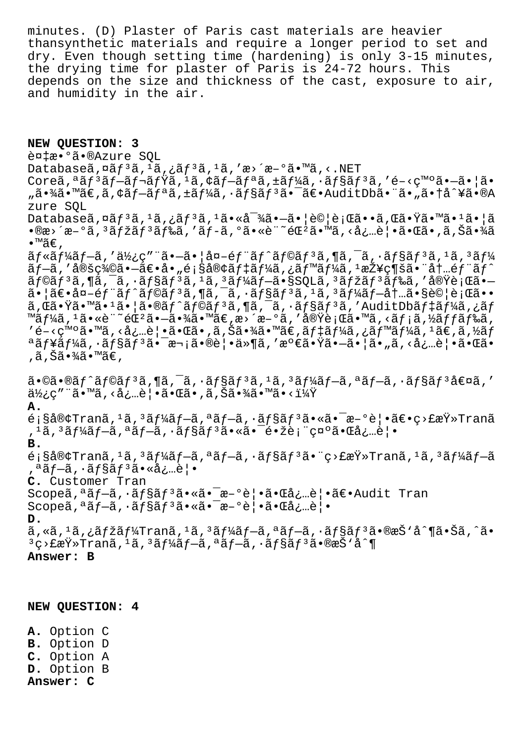minutes. (D) Plaster of Paris cast materials are heavier thansynthetic materials and require a longer period to set and dry. Even though setting time (hardening) is only 3-15 minutes, the drying time for plaster of Paris is 24-72 hours. This depends on the size and thickness of the cast, exposure to air, and humidity in the air.

**NEW QUESTION: 3** 複æ•°ã•®Azure SQL Databaseã,  $\alpha$ ã $f$ <sup>3</sup>ã,  $\alpha$ <sup>1</sup>ã, ¿ã $f$ <sup>3</sup>ã,  $\alpha$ , 'æ>´æ-°ã•™ã, <.NET Coreオンプレミスアプリケーションを開発㕗㕦ã• "㕾ã•™ã€,ã,¢ãƒ—リã,±ãƒ¼ã,∙ョリ㕯〕AuditDb㕨ã•"㕆å^¥ã•®A zure SQL  $Database\tilde{a}, \tilde{a}f^{3}\tilde{a}, \tilde{a}f^{3}\tilde{a}, \tilde{a}f^{3}\tilde{a}, \tilde{a}g^{3}\tilde{a}, \tilde{a}g^{2}\tilde{a}, \tilde{a}g^{2}\tilde{a}, \tilde{a}g^{2}\tilde{a}, \tilde{a}g^{2}\tilde{a}, \tilde{a}g^{2}\tilde{a}, \tilde{a}g^{2}\tilde{a}, \tilde{a}g^{2}\tilde{a}, \tilde{a}g^{2}\tilde{a}, \tilde{a}g^{2}\tilde{a}, \tilde{a}g^{2}\tilde{a}, \til$ •®æ›´æ-°ã, 3ãfžãf 3ãf‰ã, 'ãf-ã, °ã•«è¨~éŒ2ã•™ã, <必覕㕌ã•,ã,Šã•¾ã  $\bullet$ ™ã€,  $\tilde{a}f$ « $\tilde{a}f$ ¼ $\tilde{a}f$ – $\tilde{a}$ , ' $\tilde{a}Y_2$ ç" " $\tilde{a} \cdot -\tilde{a} \cdot |\tilde{a}a - \tilde{e}f$ " $\tilde{a}f$ ^ $\tilde{a}f$ © $\tilde{a}f$ 3 $\tilde{a}$ , " $\tilde{a}$ ,  $\tilde{a}f$ s $\tilde{a}f$ 3 $\tilde{a}f$ 3 $\tilde{a}f$ 3 $\tilde{a}f$ 4 $\tilde{a}$ ãf—ã,'定義㕗〕å•"顧客ãf‡ãf¼ã,¿ãf™ãf¼ã,ユ接続㕨内éf¨ãf^  $\tilde{a}$ f©ã $f$  $\tilde{a}$ , ¶ã, ¯ $\tilde{a}$ ,  $\tilde{a}$ ,  $\tilde{f}$ s $\tilde{a}$ ,  $\tilde{a}$ ,  $\tilde{a}$ ,  $\tilde{a}$ ,  $\tilde{a}$ ,  $\tilde{a}$ ,  $\tilde{a}$ ,  $\tilde{a}$ ,  $\tilde{a}$ ,  $\tilde{a}$ ,  $\tilde{a}$ ,  $\tilde{a}$ ,  $\tilde{a}$ ,  $\tilde{a}$ ,  $\tilde{a}$ ,  $\tilde{a}$ ,  $\til$  $a \cdot \frac{a}{a} = \frac{a}{a} - \frac{a}{a} - \frac{a}{a} - \frac{a}{a} - \frac{a}{a} - \frac{a}{a} - \frac{a}{a} - \frac{a}{a} - \frac{a}{a} - \frac{a}{a} - \frac{a}{a} - \frac{a}{a} - \frac{a}{a} - \frac{a}{a} - \frac{a}{a} - \frac{a}{a} - \frac{a}{a} - \frac{a}{a} - \frac{a}{a} - \frac{a}{a} - \frac{a}{a} - \frac{a}{a} - \frac{a}{a} - \frac{a}{a} - \frac{a}{a} - \frac{a}{a} - \$  $a, \tilde{a} \cdot \tilde{a} \cdot \tilde{a} \cdot \tilde{a} \cdot \tilde{a} \cdot \tilde{a} \cdot \tilde{a} \cdot \tilde{a} \cdot \tilde{a} \cdot \tilde{a} \cdot \tilde{a} \cdot \tilde{a} \cdot \tilde{a} \cdot \tilde{a} \cdot \tilde{a} \cdot \tilde{a} \cdot \tilde{a} \cdot \tilde{a} \cdot \tilde{a} \cdot \tilde{a} \cdot \tilde{a} \cdot \tilde{a} \cdot \tilde{a} \cdot \tilde{a} \cdot \tilde{a} \cdot \tilde{a} \cdot \tilde{a} \cdot \til$ ™ã $f$ ¼ã,  $^1$ ã•«è¨ ~éŒ $^2$ ã• $-\tilde{a}$ •¾ã•™ã€, æ>´æ $-$ °ã, '実行ã•™ã, <ã $f$ ¡ã, ½ã $f$ fã $f$ ‰ã,  $\mathcal{A}$ 'é-<ç™ $\circ$ ã• mã, <必覕㕌ã•,ã,Šã•¾ã•™ã€,ã $f$ ¼ã,¿ã $f$ ™ã $f$ ¼ã,  $^1$ ã€,ã,½ã $f$ ªãƒ¥ãƒ¼ã,∙ョリ㕯次㕮覕ä»¶ã,′満㕟㕗㕦ã•"ã,<必覕㕌ã• ,ã,Šã•¾ã•™ã€,  $a \cdot \hat{\alpha} \cdot \hat{\alpha} f$ ^ã $f \circ \hat{\alpha} f$  $a \cdot \hat{\alpha} f$ ,  $a \cdot \hat{\alpha} f$ sa $f \circ \hat{\alpha} f$ ,  $a \cdot \hat{\alpha} f$  $a \cdot \hat{\alpha} f$  $a \cdot \hat{\alpha} f$  $a \cdot \hat{\alpha} f$  $a \cdot \hat{\alpha} f$  $a \cdot \hat{\alpha} f$  $a \cdot \hat{\alpha} f$  $\ddot{a}\dot{\gamma}_c$ ç" "ã•™ã, <必覕㕌ã•,ã, Šã•¾ã•™ã•< $\ddot{1}\dot{\gamma}$ **A.**  $\tilde{\mathcal{L}}$ : §å®¢Tranã,  $^1$ ã,  $^3$ ã $f$ ¼ã $f$  $\tilde{\mathcal{L}}$ ,  $^a$ ã $f$  $\tilde{\mathcal{L}}$ ,  $\tilde{\mathcal{L}}$  $\tilde{\mathcal{L}}$ s $\tilde{\mathcal{L}}$ s $\tilde{\mathcal{L}}$ ,  $^3$ ã $f$ ¼ã $f$  $\tilde{\mathcal{L}}$ ,  $^a$ ã $f$  $\tilde{\mathcal{L}}$ ,  $\tilde{\mathcal{L}}$ s $\tilde{\mathcal{L}}$ s $\tilde{\mathcal{L}}$ ,  $\tilde{\mathcal{L}}$ , <sup>1</sup>ã, <sup>3</sup>ã f¼ã f—ã, ªã f—ã, ·ã f§ã f <sup>3</sup>ã• «ã• ¯é• žè; ¨ç¤ ºã• Œå¿…覕 **B.**  $\epsilon$ ; §å®¢Tranã,  $^1$ ã,  $^3$ ã $f$ ¼ã $f$  $\tilde{=}$ ã,  $^3$ ã $f$  $\tilde{=}$ ã,  $^3$ ã $f$  $\tilde{=}$ ã $f$  $\tilde{=}$ ã $f$  $\tilde{=}$ ã $f$  $\tilde{=}$ ã $f$  $\tilde{=}$ ã $f$  $\tilde{=}$ ã $f$  $\tilde{=}$ ã $f$  $\tilde{=}$ ã $f$  $\tilde{=}$ ã $f$  $\tilde{=}$ ã $f$  $\tilde{=}$ ã $f$  $\tilde{=}$ ã $f$  $\tilde{=}$ ã $f$ ,ªãƒ—ã,•ョリ㕫必覕 **C.** Customer Tran  $S$ copeã,<sup>a</sup>ã f-ã,  $\tilde{a}$  f§ã f<sup>3</sup>ã.«ã.<sup>-</sup>æ-°è¦.ã.«å.…è¦.ã€.Audit Tran  $S$ copeã,<sup>a</sup> $\tilde{a}f-\tilde{a}$ , $\tilde{a}fS\tilde{a}f^{3}\tilde{a}$  $\tilde{a}$  $\tilde{a}$  $\tilde{a}$  $\tilde{a}$  $\tilde{a}$  $\tilde{a}$  $\tilde{a}g$  $\tilde{a}g$  $\tilde{a}$  $\tilde{a}$  $\tilde{a}$  $\tilde{a}g$  $\tilde{a}g$  $\tilde{a}g$ **D.** ã, «ã, <sup>1</sup>ã, ¿ãfžãf¼Tranã, <sup>1</sup>ã, 3ãf¼ãf—ã, ªãf—ã, ·ãf§ãf<sup>3</sup>ã•®æŠ`å^¶ã•Šã,^ã•  $3$ ç>£æŸ»Tranã,<sup>1</sup>ã, $3$ ã $f$ ¼ã $f$  $-$ ã, $3$ ã $f$  $-$ ã, $3$ ã $f$  $s$ ã $f$  $3$ ã $\bullet$ ®æŠ $3$ à $\hat{\ }$ ¶ **Answer: B**

**NEW QUESTION: 4**

**A.** Option C **B.** Option D **C.** Option A **D.** Option B **Answer: C**